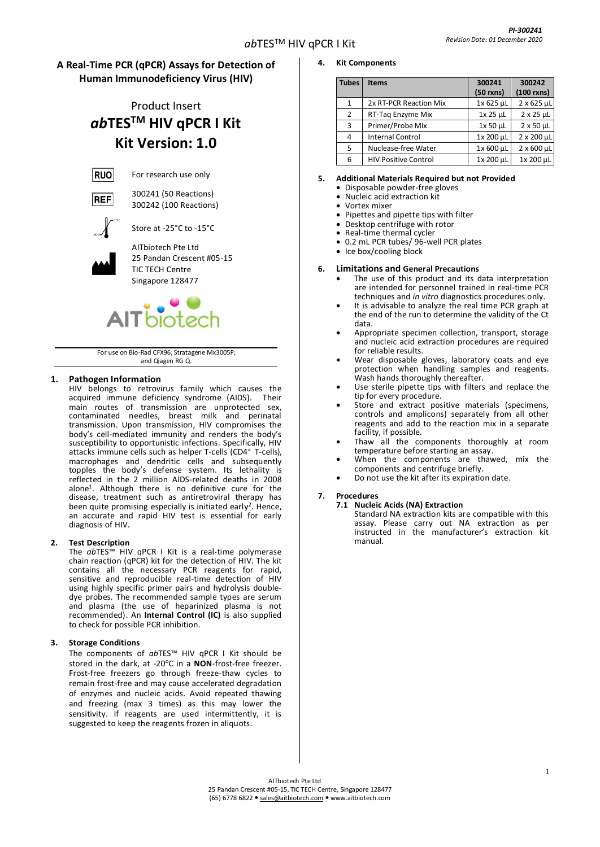# **A Real-Time PCR (qPCR) Assays for Detection of Human Immunodeficiency Virus (HIV)**

# Product Insert *ab***TESTM HIV qPCR I Kit Kit Version: 1.0**



For research use only



300241 (50 Reactions) 300242 (100 Reactions)



Store at -25°C to -15°C AITbiotech Pte Ltd

25 Pandan Crescent #05-15 TIC TECH Centre

Singapore 128477



For use on Bio-Rad CFX96, Stratagene Mx3005P, and Qiagen RG Q.

# **1. Pathogen Information**

HIV belongs to retrovirus family which causes the acquired immune deficiency syndrome (AIDS). Their main routes of transmission are unprotected sex, contaminated needles, breast milk and perinatal transmission. Upon transmission, HIV compromises the body's cell-mediated immunity and renders the body's susceptibility to opportunistic infections. Specifically, HIV attacks immune cells such as helper T-cells (CD4<sup>+</sup>T-cells), macrophages and dendritic cells and subsequently topples the body's defense system. Its lethality is reflected in the 2 million AIDS-related deaths in 2008 alone<sup>1</sup> . Although there is no definitive cure for the disease, treatment such as antiretroviral therapy has been quite promising especially is initiated early<sup>2</sup>. Hence, an accurate and rapid HIV test is essential for early diagnosis of HIV.

# **2. Test Description**

The *ab*TES™ HIV qPCR I Kit is a real-time polymerase chain reaction (qPCR) kit for the detection of HIV*.* The kit contains all the necessary PCR reagents for rapid, sensitive and reproducible real-time detection of HIV using highly specific primer pairs and hydrolysis doubledye probes. The recommended sample types are serum and plasma (the use of heparinized plasma is not recommended). An **Internal Control (IC)** is also supplied to check for possible PCR inhibition.

# **3. Storage Conditions**

The components of *ab*TES™ HIV qPCR I Kit should be stored in the dark, at -20°C in a **NON**-frost-free freezer. Frost-free freezers go through freeze-thaw cycles to remain frost-free and may cause accelerated degradation of enzymes and nucleic acids. Avoid repeated thawing and freezing (max 3 times) as this may lower the sensitivity. If reagents are used intermittently, it is suggested to keep the reagents frozen in aliquots.

- **4. Kit Components**
	- **Tubes Items 300241 (50 rxns) 300242 (100 rxns)** 1 2x RT-PCR Reaction Mix 1x 625 µL 2 x 625 µL<br>2 RT-Taq Enzyme Mix 1x 25 µL 2 x 25 µL 2 RT-Taq Enzyme Mix  $1x 25 \mu L$ 3 Primer/Probe Mix 1x 50  $\mu$ L 2 x 50  $\mu$ L  $\frac{4}{5}$  Internal Control  $\frac{1 \times 200 \text{ }\mu\text{L}}{1 \times 600 \text{ }\mu\text{L}}$   $\frac{2 \times 200 \text{ }\mu\text{L}}{2 \times 600 \text{ }\mu\text{L}}$ 5 Nuclease-free Water  $1 \times 600 \,\mu$ L 6 | HIV Positive Control  $1x 200 \mu L$  | 1x 200  $\mu L$

# **5. Additional Materials Required but not Provided**

- Disposable powder-free gloves
- Nucleic acid extraction kit
- Vortex mixer
- Pipettes and pipette tips with filter
- Desktop centrifuge with rotor
- Real-time thermal cycler
- 0.2 mL PCR tubes/ 96-well PCR plates
- Ice box/cooling block

#### **6. Limitations and General Precautions**

- The use of this product and its data interpretation are intended for personnel trained in real-time PCR techniques and *in vitro* diagnostics procedures only.
- It is advisable to analyze the real time PCR graph at the end of the run to determine the validity of the Ct data.
- Appropriate specimen collection, transport, storage and nucleic acid extraction procedures are required for reliable results.
- Wear disposable gloves, laboratory coats and eye protection when handling samples and reagents. Wash hands thoroughly thereafter.
- Use sterile pipette tips with filters and replace the tip for every procedure.
- Store and extract positive materials (specimens, controls and amplicons) separately from all other reagents and add to the reaction mix in a separate facility, if possible.
- Thaw all the components thoroughly at room temperature before starting an assay.
- When the components are thawed, mix the components and centrifuge briefly.
- Do not use the kit after its expiration date.

#### **7. Procedures**

#### **7.1 Nucleic Acids (NA) Extraction**

Standard NA extraction kits are compatible with this assay. Please carry out NA extraction as per instructed in the manufacturer's extraction kit manual.